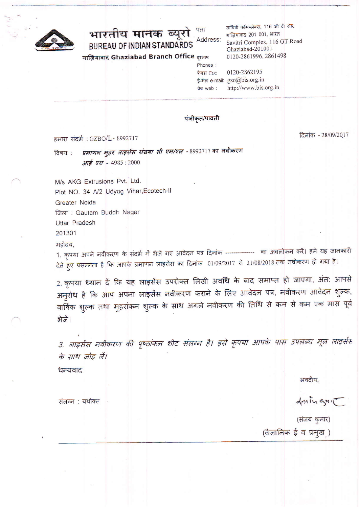

पता भारतीय मानक ब्यूरो Address: BUREAU OF INDIAN STANDARDS

गाज़ियाबाद Ghaziabad Branch Office दरभाष

सावित्री कॉमप्लेक्स, 116 जी टी रोड, गाज़ियाबाद 201 001, भारत Savitri Complex, 116 GT Road Ghaziabad-201001 0120-2861996, 2861498

0120-2862195 फैक्स Fax: ई-मेल e-mail: gzo@bis.org.in वेब web : http://www.bis.org.in

#### पंजीकृत/पावती

Phones:

हमारा संदर्भ: GZBO/L- 8992717

दिनांक - 28/09/2017

प्रमाणन मुहर लाइसेंस संख्या सी एम/एल -8992717 का नवीकरण विषय : आई एस - 4985:2000

M/s AKG Extrusions Pvt. Ltd. Plot NO. 34 A/2 Udyog Vihar, Ecotech-II Greater Noida जिला: Gautam Buddh Nagar **Uttar Pradesh** 201301

महोदय,

1. कृपया अपने नवीकरण के संदर्भ में भेजे गए आवेदन पत्र दिनांक ------------- का अवलोकन करें। हमें यह जानकारी देते हुए प्रसन्नता है कि आपके प्रमाणन लाइसेंस का दिनांक 01/09/2017 से 31/08/2018 तक नवीकरण हो गया है।

2. कृपया ध्यान दें कि यह लाइसेंस उपरोक्त लिखी अवधि के बाद समाप्त हो जाएगा, अंत: आपसे अनुरोध है कि आप अपना लाइसेंस नवीकरण कराने के लिए आवेदन पत्र, नवीकरण आवेदन शुल्क, वार्षिक शुल्क तथा मुहरांकन शुल्क के साथ अगले नवीकरण की तिथि से कम से कम एक मास पूर्व भेजें।

3. लाइसेंस नवीकरण की पृष्ठांकन शीट संलग्न है। इसे कृपया आपके पास उपलब्ध मूल लाइसेंस के साथ जोड़ लें।

भवदीय.

drings

(संजय कुमार)

(वैज्ञानिक ई व प्रमुख)

संलग्न : यथोक्त

धन्यवाद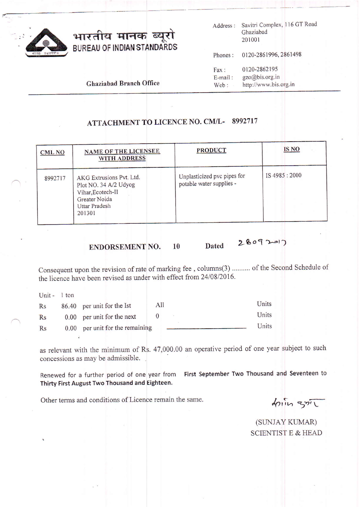

## भारतीय मानक ब्यूरो BUREAU OF INDIAN STANDARDS

Address : Savitri Complex, 116 GT Road Chaziabad 201001

Phones : 0120-2861996, <sup>2861498</sup>

Fax: 0120-2862195<br>E-mail: gzo@bis.org.in E-mail: gzo@bis.org.in<br>Web: http://www.bis. http://www.bis.org.in

Ghaziabad Branch Office

## ATTACHMENT TO LICENCE NO. CM/L-8992717

| <b>CML NO</b> | <b>NAME OF THE LICENSEE</b><br><b>WITH ADDRESS</b>                                                                        | <b>PRODUCT</b>                                          | <b>IS NO</b> |
|---------------|---------------------------------------------------------------------------------------------------------------------------|---------------------------------------------------------|--------------|
| 8992717       | AKG Extrusions Pvt. Ltd.<br>Plot NO. 34 A/2 Udyog<br>Vihar, Ecotech-II<br>Greater Noida<br><b>Uttar Pradesh</b><br>201301 | Unplasticized pvc pipes for<br>potable water supplies - | IS 4985:2000 |

## ENDORSEMENT NO.  $10$  Dated 28092=17

Consequent upon the revision of rate of marking fee, columns(3) .......... of the Second Schedule of the licence have been revised as under with effect from 24/08/2016.

Unit - 1 ton

| Rs | 86.40 per unit for the Ist      | All | Units |
|----|---------------------------------|-----|-------|
| Rs | 0.00 per unit for the next      |     | Units |
| Rs | 0.00 per unit for the remaining |     | Units |

as relevant with the mininium of Rs. 47,000.00 an operative period of one year subject to such concessions as may be admissible.

Renewed for a further period of one year from First September Two Thousand and Seventeen to Thirty First August Two Thousand and Eighteen.

Other terms and conditions of Licence remain the same.

(SUNJAY KUMAR) SCIENTIST E & HEAD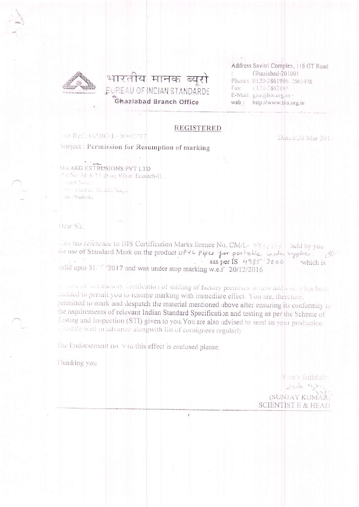

## भारतीय मानक ब्यरो **BUREAU OF INDIAN STANDARDS** Ghaziabad Branch Office

Address Savitri Complex, 116 GT Road Ghaziabad-201001 Phones: 0120-2861996.2861498 Fax: 0120-2862195 E-Mail: gzo@bis.org.in web: http://www.bis.org.in

### **REGISTERED**

#### Our Ref: GZBO 1.-8992717

Subject : Permission for Resumption of marking

Dated:20 Mar 2017

**M-S AKG EXTRUSIONS PVT LTD** Pl & No. 34 A 2 U dyog Vihir, Ecotech-II.,

caler Santa sti vinatan B. Jan Naga sta. Pradesh,

Dear Sir.

This has reference to BIS Certification Marks licence No. CM/L- 8 Tig #14 | held by you l'or use of Standard Mark on the product UPYC piper for portable usin syppher. sas per IS  $4985:2000$ which is valid upto 31/28 2017 and was under stop marking w.e.1 20/12/2016

a convention and alternative confidation of shifting of factory premises at new address, it has been accided to permit you to resume marking with immediate effect. You are, therefore, permitted to mark and despatch the material mentioned above after ensuring its conformity to the requirements of relevant Indian Standard Specification and testing as per the Scheme of l'esting and Inspection (STI) given to you. You are also advised to send us your production schedule well in advance alongwith list of consignees regularly

¥

The Endorsement no. 9 to this effect is enclosed please.

Thanking vou

Your's faithfully.  $\sqrt{2\pi r}$ (SUNJAY KUMAR) SCIENTIST E & HEAD